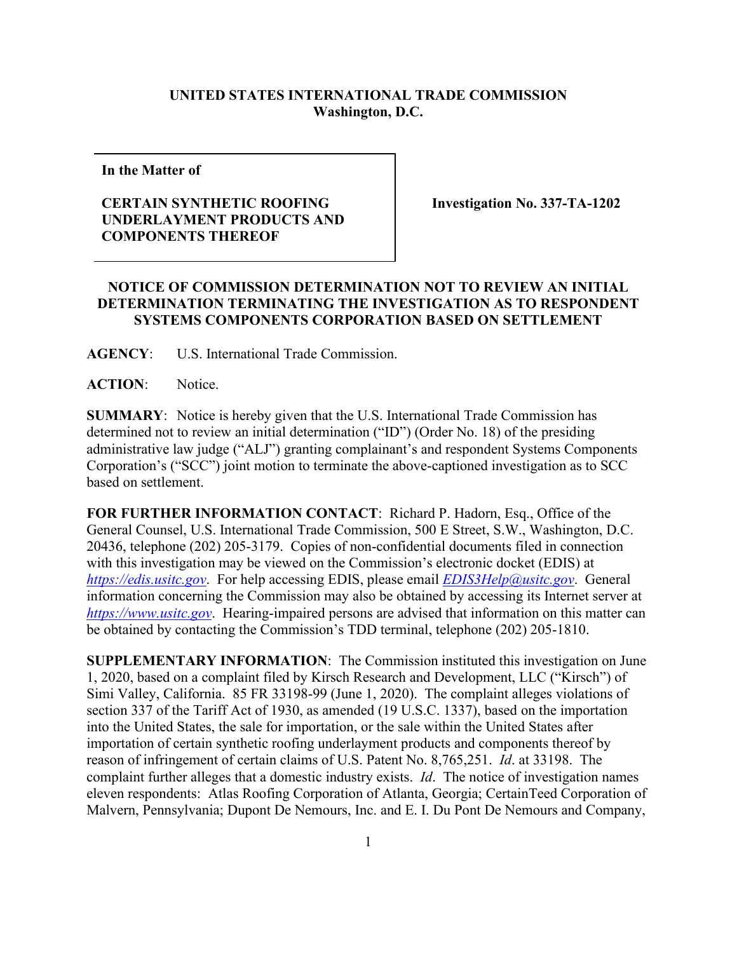## **UNITED STATES INTERNATIONAL TRADE COMMISSION Washington, D.C.**

**In the Matter of**

## **CERTAIN SYNTHETIC ROOFING UNDERLAYMENT PRODUCTS AND COMPONENTS THEREOF**

**Investigation No. 337-TA-1202**

## **NOTICE OF COMMISSION DETERMINATION NOT TO REVIEW AN INITIAL DETERMINATION TERMINATING THE INVESTIGATION AS TO RESPONDENT SYSTEMS COMPONENTS CORPORATION BASED ON SETTLEMENT**

**AGENCY**: U.S. International Trade Commission.

**ACTION**: Notice.

**SUMMARY**: Notice is hereby given that the U.S. International Trade Commission has determined not to review an initial determination ("ID") (Order No. 18) of the presiding administrative law judge ("ALJ") granting complainant's and respondent Systems Components Corporation's ("SCC") joint motion to terminate the above-captioned investigation as to SCC based on settlement.

**FOR FURTHER INFORMATION CONTACT**: Richard P. Hadorn, Esq., Office of the General Counsel, U.S. International Trade Commission, 500 E Street, S.W., Washington, D.C. 20436, telephone (202) 205-3179. Copies of non-confidential documents filed in connection with this investigation may be viewed on the Commission's electronic docket (EDIS) at *[https://edis.usitc.gov](https://edis.usitc.gov/)*. For help accessing EDIS, please email *[EDIS3Help@usitc.gov](mailto:EDIS3Help@usitc.gov)*. General information concerning the Commission may also be obtained by accessing its Internet server at *[https://www.usitc.gov](https://www.usitc.gov/)*. Hearing-impaired persons are advised that information on this matter can be obtained by contacting the Commission's TDD terminal, telephone (202) 205-1810.

**SUPPLEMENTARY INFORMATION**: The Commission instituted this investigation on June 1, 2020, based on a complaint filed by Kirsch Research and Development, LLC ("Kirsch") of Simi Valley, California. 85 FR 33198-99 (June 1, 2020). The complaint alleges violations of section 337 of the Tariff Act of 1930, as amended (19 U.S.C. 1337), based on the importation into the United States, the sale for importation, or the sale within the United States after importation of certain synthetic roofing underlayment products and components thereof by reason of infringement of certain claims of U.S. Patent No. 8,765,251. *Id*. at 33198. The complaint further alleges that a domestic industry exists. *Id*. The notice of investigation names eleven respondents: Atlas Roofing Corporation of Atlanta, Georgia; CertainTeed Corporation of Malvern, Pennsylvania; Dupont De Nemours, Inc. and E. I. Du Pont De Nemours and Company,